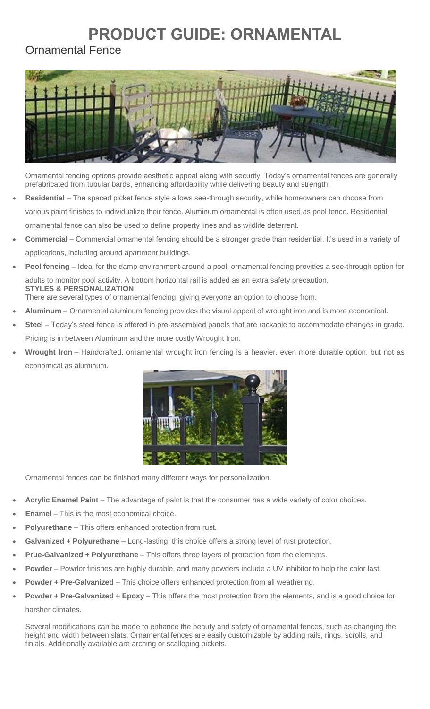## **PRODUCT GUIDE: ORNAMENTAL**

## Ornamental Fence



Ornamental fencing options provide aesthetic appeal along with security. Today's ornamental fences are generally prefabricated from tubular bards, enhancing affordability while delivering beauty and strength.

- **Residential** The spaced picket fence style allows see-through security, while homeowners can choose from various paint finishes to individualize their fence. Aluminum ornamental is often used as pool fence. Residential ornamental fence can also be used to define property lines and as wildlife deterrent.
- **Commercial** Commercial ornamental fencing should be a stronger grade than residential. It's used in a variety of applications, including around apartment buildings.
- **Pool fencing** Ideal for the damp environment around a pool, ornamental fencing provides a see-through option for adults to monitor pool activity. A bottom horizontal rail is added as an extra safety precaution. **STYLES & PERSONALIZATION** There are several types of ornamental fencing, giving everyone an option to choose from.
- **Aluminum** Ornamental aluminum fencing provides the visual appeal of wrought iron and is more economical.
- **Steel** Today's steel fence is offered in pre-assembled panels that are rackable to accommodate changes in grade. Pricing is in between Aluminum and the more costly Wrought Iron.
- **Wrought Iron** Handcrafted, ornamental wrought iron fencing is a heavier, even more durable option, but not as economical as aluminum.



Ornamental fences can be finished many different ways for personalization.

- **Acrylic Enamel Paint** The advantage of paint is that the consumer has a wide variety of color choices.
- **Enamel** This is the most economical choice.
- **Polyurethane** This offers enhanced protection from rust.
- **Galvanized + Polyurethane** Long-lasting, this choice offers a strong level of rust protection.
- **Prue-Galvanized + Polyurethane** This offers three layers of protection from the elements.
- **Powder** Powder finishes are highly durable, and many powders include a UV inhibitor to help the color last.
- **Powder + Pre-Galvanized** This choice offers enhanced protection from all weathering.
- **Powder + Pre-Galvanized + Epoxy** This offers the most protection from the elements, and is a good choice for harsher climates.

Several modifications can be made to enhance the beauty and safety of ornamental fences, such as changing the height and width between slats. Ornamental fences are easily customizable by adding rails, rings, scrolls, and finials. Additionally available are arching or scalloping pickets.